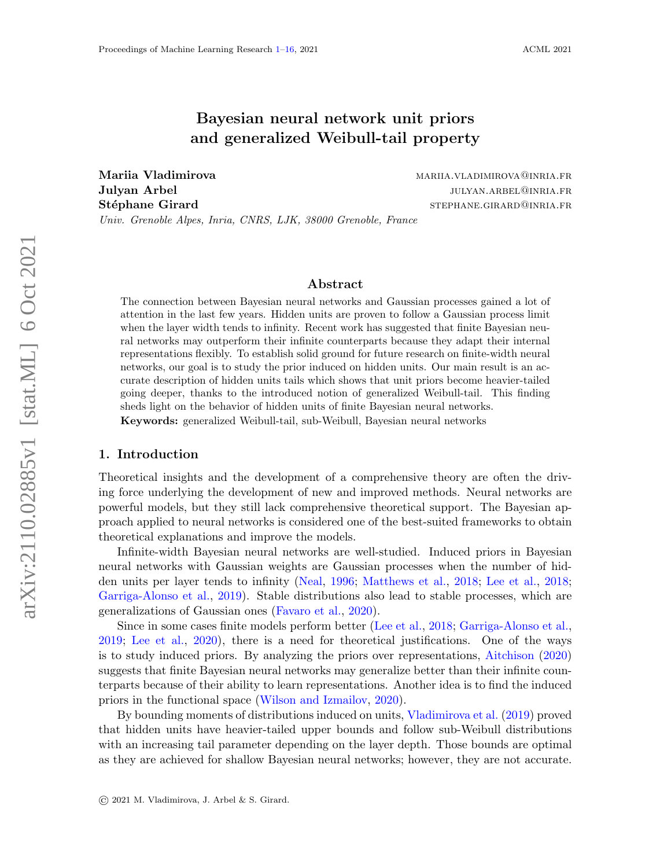# Bayesian neural network unit priors and generalized Weibull-tail property

<span id="page-0-0"></span>Mariia Vladimirova mariista martii mariista mariista markuuta markuuta markuuta markuuta markuuta markuuta mar Julyan Arbel julyan Arbel julyan.arbel Stéphane Girard stephane.girard stephane.girard stephane.girard stephane.girard stephane.girard stephane.girar Univ. Grenoble Alpes, Inria, CNRS, LJK, 38000 Grenoble, France

#### Abstract

The connection between Bayesian neural networks and Gaussian processes gained a lot of attention in the last few years. Hidden units are proven to follow a Gaussian process limit when the layer width tends to infinity. Recent work has suggested that finite Bayesian neural networks may outperform their infinite counterparts because they adapt their internal representations flexibly. To establish solid ground for future research on finite-width neural networks, our goal is to study the prior induced on hidden units. Our main result is an accurate description of hidden units tails which shows that unit priors become heavier-tailed going deeper, thanks to the introduced notion of generalized Weibull-tail. This finding sheds light on the behavior of hidden units of finite Bayesian neural networks. Keywords: generalized Weibull-tail, sub-Weibull, Bayesian neural networks

#### 1. Introduction

Theoretical insights and the development of a comprehensive theory are often the driving force underlying the development of new and improved methods. Neural networks are powerful models, but they still lack comprehensive theoretical support. The Bayesian approach applied to neural networks is considered one of the best-suited frameworks to obtain theoretical explanations and improve the models.

Infinite-width Bayesian neural networks are well-studied. Induced priors in Bayesian neural networks with Gaussian weights are Gaussian processes when the number of hidden units per layer tends to infinity [\(Neal,](#page-8-0) [1996;](#page-8-0) [Matthews et al.,](#page-8-1) [2018;](#page-8-1) [Lee et al.,](#page-8-2) [2018;](#page-8-2) [Garriga-Alonso et al.,](#page-7-0) [2019\)](#page-7-0). Stable distributions also lead to stable processes, which are generalizations of Gaussian ones [\(Favaro et al.,](#page-7-1) [2020\)](#page-7-1).

Since in some cases finite models perform better [\(Lee et al.,](#page-8-2) [2018;](#page-8-2) [Garriga-Alonso et al.,](#page-7-0) [2019;](#page-7-0) [Lee et al.,](#page-8-3) [2020\)](#page-8-3), there is a need for theoretical justifications. One of the ways is to study induced priors. By analyzing the priors over representations, [Aitchison](#page-7-2) [\(2020\)](#page-7-2) suggests that finite Bayesian neural networks may generalize better than their infinite counterparts because of their ability to learn representations. Another idea is to find the induced priors in the functional space [\(Wilson and Izmailov,](#page-9-0) [2020\)](#page-9-0).

By bounding moments of distributions induced on units, [Vladimirova et al.](#page-9-1) [\(2019\)](#page-9-1) proved that hidden units have heavier-tailed upper bounds and follow sub-Weibull distributions with an increasing tail parameter depending on the layer depth. Those bounds are optimal as they are achieved for shallow Bayesian neural networks; however, they are not accurate.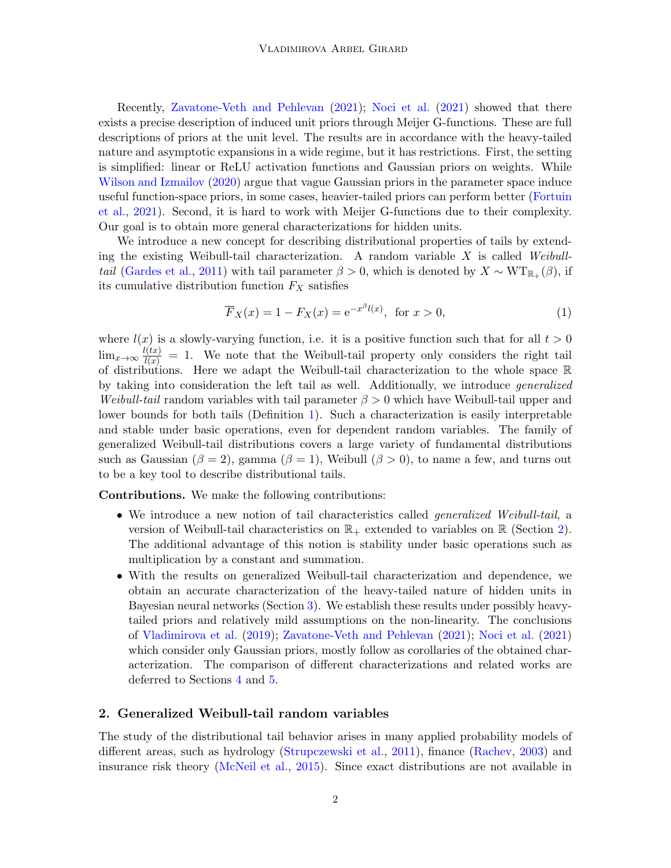Recently, [Zavatone-Veth and Pehlevan](#page-9-2) [\(2021\)](#page-9-2); [Noci et al.](#page-8-4) [\(2021\)](#page-8-4) showed that there exists a precise description of induced unit priors through Meijer G-functions. These are full descriptions of priors at the unit level. The results are in accordance with the heavy-tailed nature and asymptotic expansions in a wide regime, but it has restrictions. First, the setting is simplified: linear or ReLU activation functions and Gaussian priors on weights. While [Wilson and Izmailov](#page-9-0) [\(2020\)](#page-9-0) argue that vague Gaussian priors in the parameter space induce useful function-space priors, in some cases, heavier-tailed priors can perform better [\(Fortuin](#page-7-3) [et al.,](#page-7-3) [2021\)](#page-7-3). Second, it is hard to work with Meijer G-functions due to their complexity. Our goal is to obtain more general characterizations for hidden units.

We introduce a new concept for describing distributional properties of tails by extending the existing Weibull-tail characterization. A random variable  $X$  is called Weibull-tail [\(Gardes et al.,](#page-7-4) [2011\)](#page-7-4) with tail parameter  $\beta > 0$ , which is denoted by  $X \sim WT_{\mathbb{R}_+}(\beta)$ , if its cumulative distribution function  $F_X$  satisfies

<span id="page-1-1"></span>
$$
\overline{F}_X(x) = 1 - F_X(x) = e^{-x^{\beta}l(x)}, \text{ for } x > 0,
$$
\n(1)

where  $l(x)$  is a slowly-varying function, i.e. it is a positive function such that for all  $t > 0$  $\lim_{x\to\infty}\frac{l(tx)}{l(x)}=1$ . We note that the Weibull-tail property only considers the right tail of distributions. Here we adapt the Weibull-tail characterization to the whole space  $\mathbb R$ by taking into consideration the left tail as well. Additionally, we introduce generalized Weibull-tail random variables with tail parameter  $\beta > 0$  which have Weibull-tail upper and lower bounds for both tails (Definition [1\)](#page-2-0). Such a characterization is easily interpretable and stable under basic operations, even for dependent random variables. The family of generalized Weibull-tail distributions covers a large variety of fundamental distributions such as Gaussian ( $\beta = 2$ ), gamma ( $\beta = 1$ ), Weibull ( $\beta > 0$ ), to name a few, and turns out to be a key tool to describe distributional tails.

Contributions. We make the following contributions:

- We introduce a new notion of tail characteristics called *generalized Weibull-tail*, a version of Weibull-tail characteristics on  $\mathbb{R}_+$  extended to variables on  $\mathbb{R}$  (Section [2\)](#page-1-0). The additional advantage of this notion is stability under basic operations such as multiplication by a constant and summation.
- With the results on generalized Weibull-tail characterization and dependence, we obtain an accurate characterization of the heavy-tailed nature of hidden units in Bayesian neural networks (Section [3\)](#page-3-0). We establish these results under possibly heavytailed priors and relatively mild assumptions on the non-linearity. The conclusions of [Vladimirova et al.](#page-9-1) [\(2019\)](#page-9-1); [Zavatone-Veth and Pehlevan](#page-9-2) [\(2021\)](#page-9-2); [Noci et al.](#page-8-4) [\(2021\)](#page-8-4) which consider only Gaussian priors, mostly follow as corollaries of the obtained characterization. The comparison of different characterizations and related works are deferred to Sections [4](#page-4-0) and [5.](#page-6-0)

# <span id="page-1-0"></span>2. Generalized Weibull-tail random variables

The study of the distributional tail behavior arises in many applied probability models of different areas, such as hydrology [\(Strupczewski et al.,](#page-9-3) [2011\)](#page-9-3), finance [\(Rachev,](#page-8-5) [2003\)](#page-8-5) and insurance risk theory [\(McNeil et al.,](#page-8-6) [2015\)](#page-8-6). Since exact distributions are not available in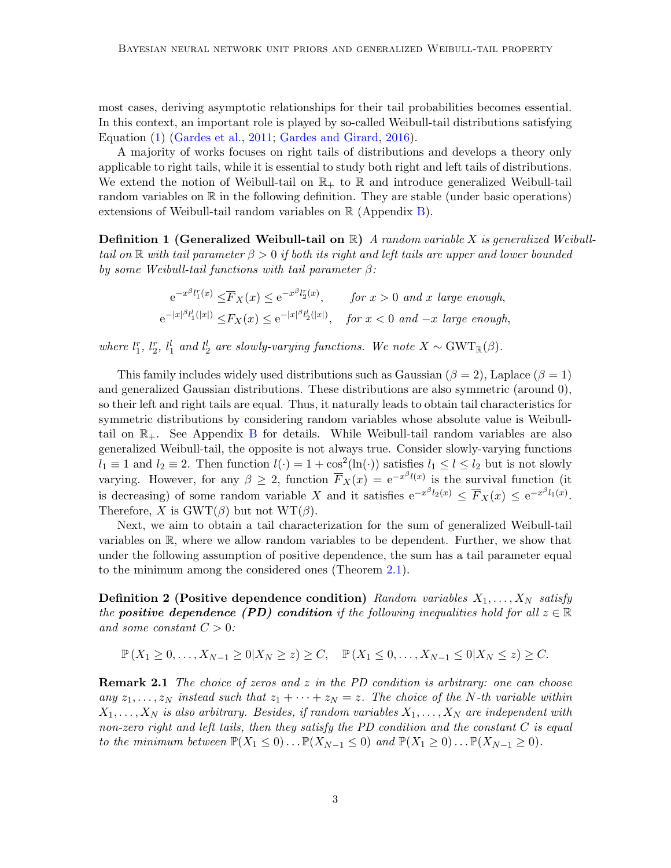most cases, deriving asymptotic relationships for their tail probabilities becomes essential. In this context, an important role is played by so-called Weibull-tail distributions satisfying Equation [\(1\)](#page-1-1) [\(Gardes et al.,](#page-7-4) [2011;](#page-7-4) [Gardes and Girard,](#page-7-5) [2016\)](#page-7-5).

A majority of works focuses on right tails of distributions and develops a theory only applicable to right tails, while it is essential to study both right and left tails of distributions. We extend the notion of Weibull-tail on  $\mathbb{R}_+$  to  $\mathbb R$  and introduce generalized Weibull-tail random variables on  $\mathbb R$  in the following definition. They are stable (under basic operations) extensions of Weibull-tail random variables on  $\mathbb R$  (Appendix [B\)](#page-10-0).

<span id="page-2-0"></span>**Definition 1 (Generalized Weibull-tail on R)** A random variable X is generalized Weibulltail on  $\mathbb R$  with tail parameter  $\beta > 0$  if both its right and left tails are upper and lower bounded by some Weibull-tail functions with tail parameter  $\beta$ :

$$
e^{-x^{\beta}l_{1}^{r}(x)} \leq \overline{F}_{X}(x) \leq e^{-x^{\beta}l_{2}^{r}(x)}, \quad \text{for } x > 0 \text{ and } x \text{ large enough},
$$
  

$$
e^{-|x|^{\beta}l_{1}^{l}(|x|)} \leq F_{X}(x) \leq e^{-|x|^{\beta}l_{2}^{l}(|x|)}, \quad \text{for } x < 0 \text{ and } -x \text{ large enough},
$$

where  $l_1^r$ ,  $l_2^r$ ,  $l_1^l$  and  $l_2^l$  are slowly-varying functions. We note  $X \sim \text{GWT}_{\mathbb{R}}(\beta)$ .

This family includes widely used distributions such as Gaussian ( $\beta = 2$ ), Laplace ( $\beta = 1$ ) and generalized Gaussian distributions. These distributions are also symmetric (around 0), so their left and right tails are equal. Thus, it naturally leads to obtain tail characteristics for symmetric distributions by considering random variables whose absolute value is Weibulltail on  $\mathbb{R}_+$ . See Appendix [B](#page-10-0) for details. While Weibull-tail random variables are also generalized Weibull-tail, the opposite is not always true. Consider slowly-varying functions  $l_1 \equiv 1$  and  $l_2 \equiv 2$ . Then function  $l(\cdot) = 1 + \cos^2(\ln(\cdot))$  satisfies  $l_1 \le l \le l_2$  but is not slowly varying. However, for any  $\beta \geq 2$ , function  $\overline{F}_X(x) = e^{-x^{\beta}l(x)}$  is the survival function (it is decreasing) of some random variable X and it satisfies  $e^{-x^{\beta}l_2(x)} \leq \overline{F}_X(x) \leq e^{-x^{\beta}l_1(x)}$ . Therefore, X is  $\text{GWT}(\beta)$  but not  $\text{WT}(\beta)$ .

Next, we aim to obtain a tail characterization for the sum of generalized Weibull-tail variables on R, where we allow random variables to be dependent. Further, we show that under the following assumption of positive dependence, the sum has a tail parameter equal to the minimum among the considered ones (Theorem [2.1\)](#page-3-1).

<span id="page-2-1"></span>**Definition 2 (Positive dependence condition)** Random variables  $X_1, \ldots, X_N$  satisfy the **positive dependence (PD) condition** if the following inequalities hold for all  $z \in \mathbb{R}$ and some constant  $C > 0$ :

$$
\mathbb{P}(X_1 \ge 0, \dots, X_{N-1} \ge 0 | X_N \ge z) \ge C, \quad \mathbb{P}(X_1 \le 0, \dots, X_{N-1} \le 0 | X_N \le z) \ge C.
$$

**Remark 2.1** The choice of zeros and z in the PD condition is arbitrary: one can choose any  $z_1, \ldots, z_N$  instead such that  $z_1 + \cdots + z_N = z$ . The choice of the N-th variable within  $X_1, \ldots, X_N$  is also arbitrary. Besides, if random variables  $X_1, \ldots, X_N$  are independent with non-zero right and left tails, then they satisfy the PD condition and the constant  $C$  is equal to the minimum between  $\mathbb{P}(X_1 \leq 0) \dots \mathbb{P}(X_{N-1} \leq 0)$  and  $\mathbb{P}(X_1 \geq 0) \dots \mathbb{P}(X_{N-1} \geq 0)$ .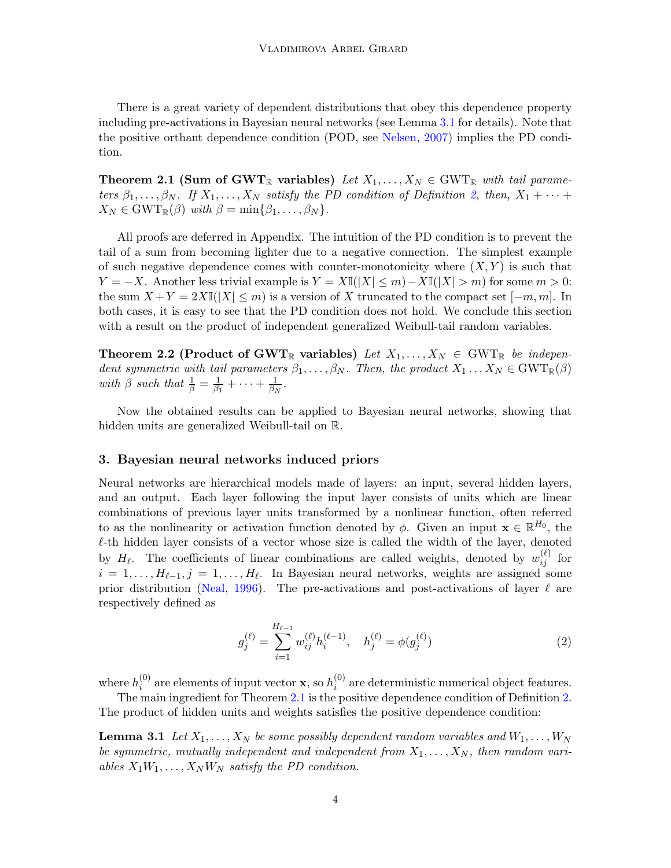There is a great variety of dependent distributions that obey this dependence property including pre-activations in Bayesian neural networks (see Lemma [3.1](#page-3-2) for details). Note that the positive orthant dependence condition (POD, see [Nelsen,](#page-8-7) [2007\)](#page-8-7) implies the PD condition.

<span id="page-3-1"></span>Theorem 2.1 (Sum of GWT<sub>R</sub> variables) Let  $X_1, \ldots, X_N \in \text{GWT}_R$  with tail parameters  $\beta_1, \ldots, \beta_N$ . If  $X_1, \ldots, X_N$  satisfy the PD condition of Definition [2,](#page-2-1) then,  $X_1 + \cdots +$  $X_N \in \text{GWT}_{\mathbb{R}}(\beta)$  with  $\beta = \min\{\beta_1, \ldots, \beta_N\}.$ 

All proofs are deferred in Appendix. The intuition of the PD condition is to prevent the tail of a sum from becoming lighter due to a negative connection. The simplest example of such negative dependence comes with counter-monotonicity where  $(X, Y)$  is such that  $Y = -X$ . Another less trivial example is  $Y = X\mathbb{I}(|X| \le m) - X\mathbb{I}(|X| > m)$  for some  $m > 0$ : the sum  $X + Y = 2X\mathbb{I}(|X| \leq m)$  is a version of X truncated to the compact set  $[-m, m]$ . In both cases, it is easy to see that the PD condition does not hold. We conclude this section with a result on the product of independent generalized Weibull-tail random variables.

<span id="page-3-4"></span>**Theorem 2.2 (Product of GWT<sub>R</sub>** variables) Let  $X_1, \ldots, X_N \in \text{GWT}_R$  be independent symmetric with tail parameters  $\beta_1, \ldots, \beta_N$ . Then, the product  $X_1 \ldots X_N \in \text{GWT}_\mathbb{R}(\beta)$ with  $\beta$  such that  $\frac{1}{\beta} = \frac{1}{\beta_1} + \cdots + \frac{1}{\beta_N}$ .

Now the obtained results can be applied to Bayesian neural networks, showing that hidden units are generalized Weibull-tail on R.

#### <span id="page-3-0"></span>3. Bayesian neural networks induced priors

Neural networks are hierarchical models made of layers: an input, several hidden layers, and an output. Each layer following the input layer consists of units which are linear combinations of previous layer units transformed by a nonlinear function, often referred to as the nonlinearity or activation function denoted by  $\phi$ . Given an input  $\mathbf{x} \in \mathbb{R}^{H_0}$ , the  $\ell$ -th hidden layer consists of a vector whose size is called the width of the layer, denoted by  $H_{\ell}$ . The coefficients of linear combinations are called weights, denoted by  $w_{ij}^{(\ell)}$  for  $i = 1, \ldots, H_{\ell-1}, j = 1, \ldots, H_{\ell}$ . In Bayesian neural networks, weights are assigned some prior distribution [\(Neal,](#page-8-0) [1996\)](#page-8-0). The pre-activations and post-activations of layer  $\ell$  are respectively defined as

<span id="page-3-3"></span><span id="page-3-2"></span>
$$
g_j^{(\ell)} = \sum_{i=1}^{H_{\ell-1}} w_{ij}^{(\ell)} h_i^{(\ell-1)}, \quad h_j^{(\ell)} = \phi(g_j^{(\ell)})
$$
 (2)

where  $h_i^{(0)}$  $i_0^{(0)}$  are elements of input vector **x**, so  $h_i^{(0)}$  $i^{(0)}$  are deterministic numerical object features.

The main ingredient for Theorem [2.1](#page-3-1) is the positive dependence condition of Definition [2.](#page-2-1) The product of hidden units and weights satisfies the positive dependence condition:

**Lemma 3.1** Let  $X_1, \ldots, X_N$  be some possibly dependent random variables and  $W_1, \ldots, W_N$ be symmetric, mutually independent and independent from  $X_1, \ldots, X_N$ , then random variables  $X_1W_1, \ldots, X_NW_N$  satisfy the PD condition.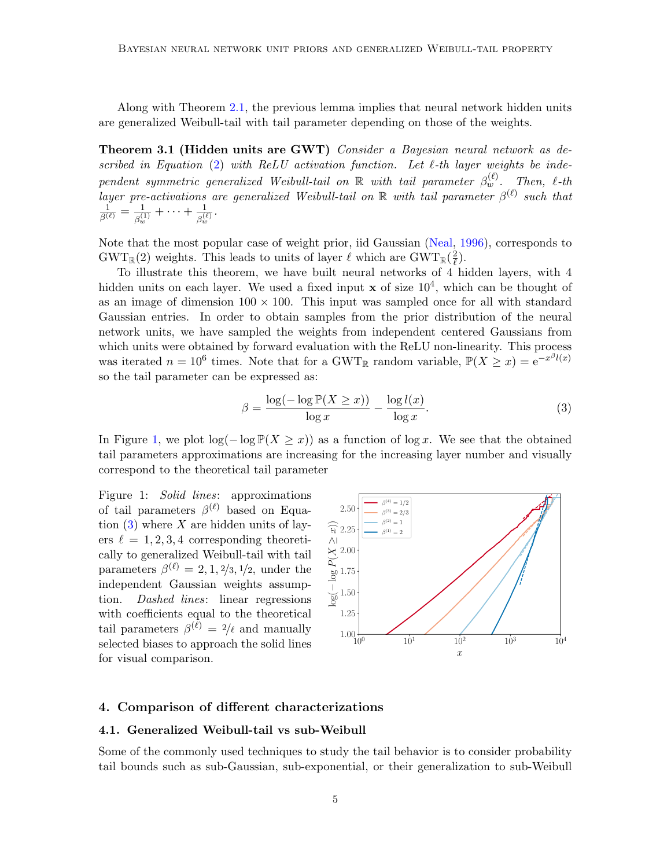Along with Theorem [2.1,](#page-3-1) the previous lemma implies that neural network hidden units are generalized Weibull-tail with tail parameter depending on those of the weights.

<span id="page-4-3"></span>Theorem 3.1 (Hidden units are GWT) Consider a Bayesian neural network as de-scribed in Equation [\(2\)](#page-3-3) with ReLU activation function. Let  $\ell$ -th layer weights be independent symmetric generalized Weibull-tail on  $\mathbb R$  with tail parameter  $\beta_w^{(\ell)}$ . Then,  $\ell$ -th layer pre-activations are generalized Weibull-tail on  $\mathbb R$  with tail parameter  $\beta^{(\ell)}$  such that  $\frac{1}{\beta^{(\ell)}} = \frac{1}{\beta^{(\ell)}_{\infty}}$  $\frac{1}{\beta_w^{(1)}} + \cdots + \frac{1}{\beta_w^{(n)}}$  $\frac{1}{\beta_w^{(\ell)}}$  .

Note that the most popular case of weight prior, iid Gaussian [\(Neal,](#page-8-0) [1996\)](#page-8-0), corresponds to  $\text{GWT}_{\mathbb{R}}(2)$  weights. This leads to units of layer  $\ell$  which are  $\text{GWT}_{\mathbb{R}}(\frac{2}{\ell})$ .

To illustrate this theorem, we have built neural networks of 4 hidden layers, with 4 hidden units on each layer. We used a fixed input  $\mathbf x$  of size  $10^4$ , which can be thought of as an image of dimension  $100 \times 100$ . This input was sampled once for all with standard Gaussian entries. In order to obtain samples from the prior distribution of the neural network units, we have sampled the weights from independent centered Gaussians from which units were obtained by forward evaluation with the ReLU non-linearity. This process was iterated  $n = 10^6$  times. Note that for a GWT<sub>R</sub> random variable,  $\mathbb{P}(X \geq x) = e^{-x^{\beta}l(x)}$ so the tail parameter can be expressed as:

<span id="page-4-2"></span>
$$
\beta = \frac{\log(-\log \mathbb{P}(X \ge x))}{\log x} - \frac{\log l(x)}{\log x}.
$$
\n(3)

In Figure [1,](#page-4-1) we plot  $\log(-\log \mathbb{P}(X \geq x))$  as a function of  $\log x$ . We see that the obtained tail parameters approximations are increasing for the increasing layer number and visually correspond to the theoretical tail parameter.

<span id="page-4-1"></span>Figure 1: *Solid lines*: approximations of tail parameters  $\beta^{(\ell)}$  based on Equation  $(3)$  where X are hidden units of layers  $\ell = 1, 2, 3, 4$  corresponding theoretically to generalized Weibull-tail with tail parameters  $\beta^{(\ell)} = 2, 1, \frac{2}{3}, \frac{1}{2}$ , under the independent Gaussian weights assumption. Dashed lines: linear regressions with coefficients equal to the theoretical tail parameters  $\beta^{(\ell)} = 2/\ell$  and manually selected biases to approach the solid lines for visual comparison.



# <span id="page-4-0"></span>4. Comparison of different characterizations

## 4.1. Generalized Weibull-tail vs sub-Weibull

Some of the commonly used techniques to study the tail behavior is to consider probability tail bounds such as sub-Gaussian, sub-exponential, or their generalization to sub-Weibull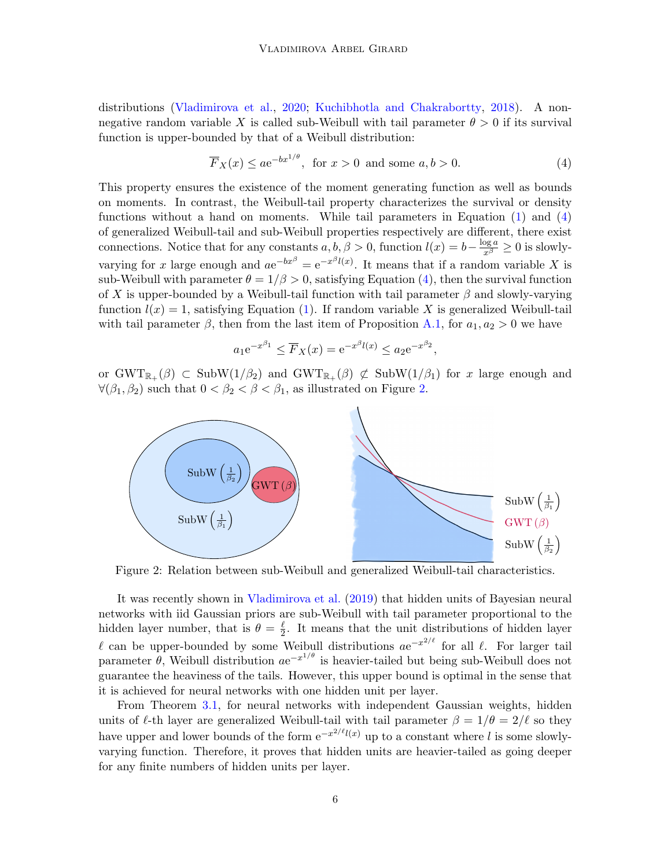distributions [\(Vladimirova et al.,](#page-9-4) [2020;](#page-9-4) [Kuchibhotla and Chakrabortty,](#page-8-8) [2018\)](#page-8-8). A nonnegative random variable X is called sub-Weibull with tail parameter  $\theta > 0$  if its survival function is upper-bounded by that of a Weibull distribution:

<span id="page-5-0"></span>
$$
\overline{F}_X(x) \le a e^{-bx^{1/\theta}}, \text{ for } x > 0 \text{ and some } a, b > 0.
$$
 (4)

This property ensures the existence of the moment generating function as well as bounds on moments. In contrast, the Weibull-tail property characterizes the survival or density functions without a hand on moments. While tail parameters in Equation [\(1\)](#page-1-1) and [\(4\)](#page-5-0) of generalized Weibull-tail and sub-Weibull properties respectively are different, there exist connections. Notice that for any constants  $a, b, \beta > 0$ , function  $l(x) = b - \frac{\log a}{x^{\beta}} \ge 0$  is slowlyvarying for x large enough and  $ae^{-bx^{\beta}} = e^{-x^{\beta}l(x)}$ . It means that if a random variable X is sub-Weibull with parameter  $\theta = 1/\beta > 0$ , satisfying Equation [\(4\)](#page-5-0), then the survival function of X is upper-bounded by a Weibull-tail function with tail parameter  $\beta$  and slowly-varying function  $l(x) = 1$ , satisfying Equation [\(1\)](#page-1-1). If random variable X is generalized Weibull-tail with tail parameter  $\beta$ , then from the last item of Proposition [A.1,](#page-9-5) for  $a_1, a_2 > 0$  we have

$$
a_1 e^{-x^{\beta_1}} \leq \overline{F}_X(x) = e^{-x^{\beta}l(x)} \leq a_2 e^{-x^{\beta_2}},
$$

or  $GWT_{\mathbb{R}_+}(\beta) \subset SubW(1/\beta_2)$  and  $GWT_{\mathbb{R}_+}(\beta) \not\subset SubW(1/\beta_1)$  for x large enough and  $\forall (\beta_1, \beta_2)$  such that  $0 < \beta_2 < \beta < \beta_1$ , as illustrated on Figure [2.](#page-5-1)

<span id="page-5-1"></span>

Figure 2: Relation between sub-Weibull and generalized Weibull-tail characteristics.

It was recently shown in [Vladimirova et al.](#page-9-1) [\(2019\)](#page-9-1) that hidden units of Bayesian neural networks with iid Gaussian priors are sub-Weibull with tail parameter proportional to the hidden layer number, that is  $\theta = \frac{\ell}{2}$  $\frac{\ell}{2}$ . It means that the unit distributions of hidden layer l can be upper-bounded by some Weibull distributions  $ae^{-x^{2/\ell}}$  for all l. For larger tail parameter  $\theta$ , Weibull distribution  $ae^{-x^{1/\theta}}$  is heavier-tailed but being sub-Weibull does not guarantee the heaviness of the tails. However, this upper bound is optimal in the sense that it is achieved for neural networks with one hidden unit per layer.

From Theorem [3.1,](#page-4-3) for neural networks with independent Gaussian weights, hidden units of  $\ell$ -th layer are generalized Weibull-tail with tail parameter  $\beta = 1/\theta = 2/\ell$  so they have upper and lower bounds of the form  $e^{-x^{2}/\ell}l(x)$  up to a constant where l is some slowlyvarying function. Therefore, it proves that hidden units are heavier-tailed as going deeper for any finite numbers of hidden units per layer.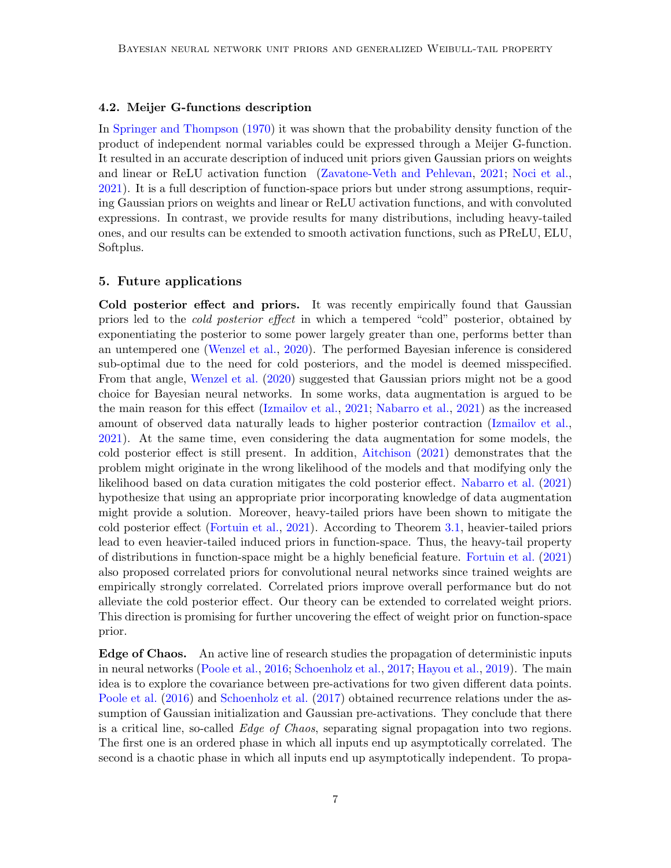## 4.2. Meijer G-functions description

In [Springer and Thompson](#page-8-9) [\(1970\)](#page-8-9) it was shown that the probability density function of the product of independent normal variables could be expressed through a Meijer G-function. It resulted in an accurate description of induced unit priors given Gaussian priors on weights and linear or ReLU activation function [\(Zavatone-Veth and Pehlevan,](#page-9-2) [2021;](#page-9-2) [Noci et al.,](#page-8-4) [2021\)](#page-8-4). It is a full description of function-space priors but under strong assumptions, requiring Gaussian priors on weights and linear or ReLU activation functions, and with convoluted expressions. In contrast, we provide results for many distributions, including heavy-tailed ones, and our results can be extended to smooth activation functions, such as PReLU, ELU, Softplus.

## <span id="page-6-0"></span>5. Future applications

Cold posterior effect and priors. It was recently empirically found that Gaussian priors led to the cold posterior effect in which a tempered "cold" posterior, obtained by exponentiating the posterior to some power largely greater than one, performs better than an untempered one [\(Wenzel et al.,](#page-9-6) [2020\)](#page-9-6). The performed Bayesian inference is considered sub-optimal due to the need for cold posteriors, and the model is deemed misspecified. From that angle, [Wenzel et al.](#page-9-6) [\(2020\)](#page-9-6) suggested that Gaussian priors might not be a good choice for Bayesian neural networks. In some works, data augmentation is argued to be the main reason for this effect [\(Izmailov et al.,](#page-8-10) [2021;](#page-8-10) [Nabarro et al.,](#page-8-11) [2021\)](#page-8-11) as the increased amount of observed data naturally leads to higher posterior contraction [\(Izmailov et al.,](#page-8-10) [2021\)](#page-8-10). At the same time, even considering the data augmentation for some models, the cold posterior effect is still present. In addition, [Aitchison](#page-7-6) [\(2021\)](#page-7-6) demonstrates that the problem might originate in the wrong likelihood of the models and that modifying only the likelihood based on data curation mitigates the cold posterior effect. [Nabarro et al.](#page-8-11) [\(2021\)](#page-8-11) hypothesize that using an appropriate prior incorporating knowledge of data augmentation might provide a solution. Moreover, heavy-tailed priors have been shown to mitigate the cold posterior effect [\(Fortuin et al.,](#page-7-3) [2021\)](#page-7-3). According to Theorem [3.1,](#page-4-3) heavier-tailed priors lead to even heavier-tailed induced priors in function-space. Thus, the heavy-tail property of distributions in function-space might be a highly beneficial feature. [Fortuin et al.](#page-7-3) [\(2021\)](#page-7-3) also proposed correlated priors for convolutional neural networks since trained weights are empirically strongly correlated. Correlated priors improve overall performance but do not alleviate the cold posterior effect. Our theory can be extended to correlated weight priors. This direction is promising for further uncovering the effect of weight prior on function-space prior.

Edge of Chaos. An active line of research studies the propagation of deterministic inputs in neural networks [\(Poole et al.,](#page-8-12) [2016;](#page-8-12) [Schoenholz et al.,](#page-8-13) [2017;](#page-8-13) [Hayou et al.,](#page-7-7) [2019\)](#page-7-7). The main idea is to explore the covariance between pre-activations for two given different data points. [Poole et al.](#page-8-12) [\(2016\)](#page-8-12) and [Schoenholz et al.](#page-8-13) [\(2017\)](#page-8-13) obtained recurrence relations under the assumption of Gaussian initialization and Gaussian pre-activations. They conclude that there is a critical line, so-called Edge of Chaos, separating signal propagation into two regions. The first one is an ordered phase in which all inputs end up asymptotically correlated. The second is a chaotic phase in which all inputs end up asymptotically independent. To propa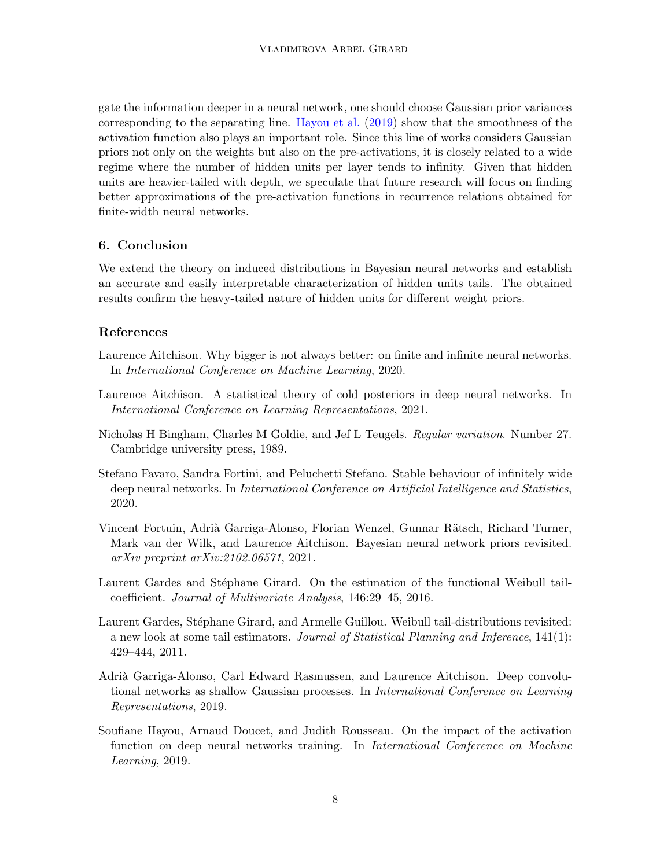gate the information deeper in a neural network, one should choose Gaussian prior variances corresponding to the separating line. [Hayou et al.](#page-7-7) [\(2019\)](#page-7-7) show that the smoothness of the activation function also plays an important role. Since this line of works considers Gaussian priors not only on the weights but also on the pre-activations, it is closely related to a wide regime where the number of hidden units per layer tends to infinity. Given that hidden units are heavier-tailed with depth, we speculate that future research will focus on finding better approximations of the pre-activation functions in recurrence relations obtained for finite-width neural networks.

# 6. Conclusion

We extend the theory on induced distributions in Bayesian neural networks and establish an accurate and easily interpretable characterization of hidden units tails. The obtained results confirm the heavy-tailed nature of hidden units for different weight priors.

# References

- <span id="page-7-2"></span>Laurence Aitchison. Why bigger is not always better: on finite and infinite neural networks. In International Conference on Machine Learning, 2020.
- <span id="page-7-6"></span>Laurence Aitchison. A statistical theory of cold posteriors in deep neural networks. In International Conference on Learning Representations, 2021.
- <span id="page-7-8"></span>Nicholas H Bingham, Charles M Goldie, and Jef L Teugels. Regular variation. Number 27. Cambridge university press, 1989.
- <span id="page-7-1"></span>Stefano Favaro, Sandra Fortini, and Peluchetti Stefano. Stable behaviour of infinitely wide deep neural networks. In *International Conference on Artificial Intelligence and Statistics*, 2020.
- <span id="page-7-3"></span>Vincent Fortuin, Adrià Garriga-Alonso, Florian Wenzel, Gunnar Rätsch, Richard Turner, Mark van der Wilk, and Laurence Aitchison. Bayesian neural network priors revisited. arXiv preprint arXiv:2102.06571, 2021.
- <span id="page-7-5"></span>Laurent Gardes and Stéphane Girard. On the estimation of the functional Weibull tailcoefficient. Journal of Multivariate Analysis, 146:29–45, 2016.
- <span id="page-7-4"></span>Laurent Gardes, Stéphane Girard, and Armelle Guillou. Weibull tail-distributions revisited: a new look at some tail estimators. Journal of Statistical Planning and Inference, 141(1): 429–444, 2011.
- <span id="page-7-0"></span>Adri`a Garriga-Alonso, Carl Edward Rasmussen, and Laurence Aitchison. Deep convolutional networks as shallow Gaussian processes. In International Conference on Learning Representations, 2019.
- <span id="page-7-7"></span>Soufiane Hayou, Arnaud Doucet, and Judith Rousseau. On the impact of the activation function on deep neural networks training. In International Conference on Machine Learning, 2019.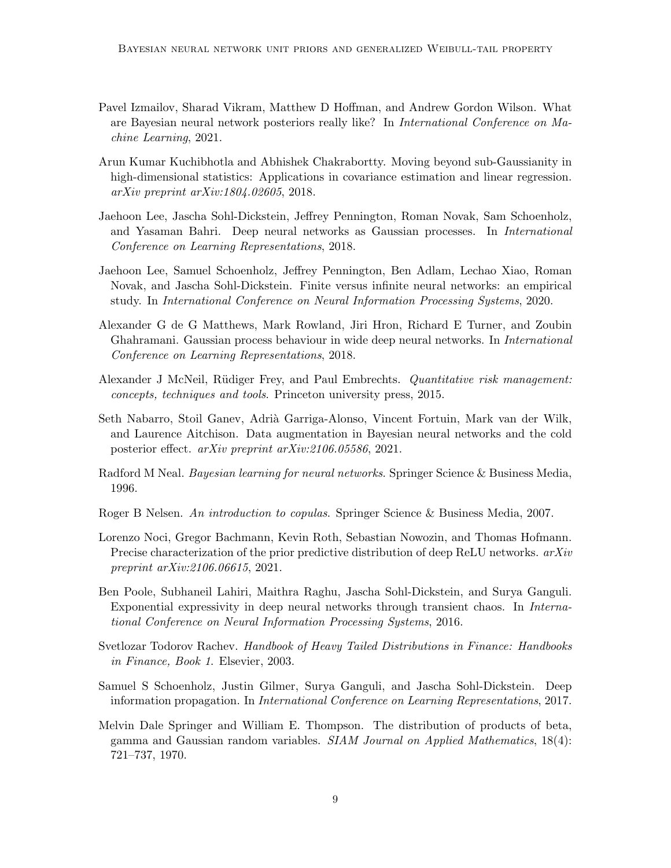- <span id="page-8-10"></span>Pavel Izmailov, Sharad Vikram, Matthew D Hoffman, and Andrew Gordon Wilson. What are Bayesian neural network posteriors really like? In International Conference on Machine Learning, 2021.
- <span id="page-8-8"></span>Arun Kumar Kuchibhotla and Abhishek Chakrabortty. Moving beyond sub-Gaussianity in high-dimensional statistics: Applications in covariance estimation and linear regression. arXiv preprint arXiv:1804.02605, 2018.
- <span id="page-8-2"></span>Jaehoon Lee, Jascha Sohl-Dickstein, Jeffrey Pennington, Roman Novak, Sam Schoenholz, and Yasaman Bahri. Deep neural networks as Gaussian processes. In International Conference on Learning Representations, 2018.
- <span id="page-8-3"></span>Jaehoon Lee, Samuel Schoenholz, Jeffrey Pennington, Ben Adlam, Lechao Xiao, Roman Novak, and Jascha Sohl-Dickstein. Finite versus infinite neural networks: an empirical study. In International Conference on Neural Information Processing Systems, 2020.
- <span id="page-8-1"></span>Alexander G de G Matthews, Mark Rowland, Jiri Hron, Richard E Turner, and Zoubin Ghahramani. Gaussian process behaviour in wide deep neural networks. In International Conference on Learning Representations, 2018.
- <span id="page-8-6"></span>Alexander J McNeil, Rüdiger Frey, and Paul Embrechts. Quantitative risk management: concepts, techniques and tools. Princeton university press, 2015.
- <span id="page-8-11"></span>Seth Nabarro, Stoil Ganev, Adrià Garriga-Alonso, Vincent Fortuin, Mark van der Wilk, and Laurence Aitchison. Data augmentation in Bayesian neural networks and the cold posterior effect. arXiv preprint arXiv:2106.05586, 2021.
- <span id="page-8-0"></span>Radford M Neal. Bayesian learning for neural networks. Springer Science & Business Media, 1996.
- <span id="page-8-7"></span>Roger B Nelsen. An introduction to copulas. Springer Science & Business Media, 2007.
- <span id="page-8-4"></span>Lorenzo Noci, Gregor Bachmann, Kevin Roth, Sebastian Nowozin, and Thomas Hofmann. Precise characterization of the prior predictive distribution of deep ReLU networks.  $arXiv$ preprint arXiv:2106.06615, 2021.
- <span id="page-8-12"></span>Ben Poole, Subhaneil Lahiri, Maithra Raghu, Jascha Sohl-Dickstein, and Surya Ganguli. Exponential expressivity in deep neural networks through transient chaos. In International Conference on Neural Information Processing Systems, 2016.
- <span id="page-8-5"></span>Svetlozar Todorov Rachev. Handbook of Heavy Tailed Distributions in Finance: Handbooks in Finance, Book 1. Elsevier, 2003.
- <span id="page-8-13"></span>Samuel S Schoenholz, Justin Gilmer, Surya Ganguli, and Jascha Sohl-Dickstein. Deep information propagation. In International Conference on Learning Representations, 2017.
- <span id="page-8-9"></span>Melvin Dale Springer and William E. Thompson. The distribution of products of beta, gamma and Gaussian random variables. SIAM Journal on Applied Mathematics, 18(4): 721–737, 1970.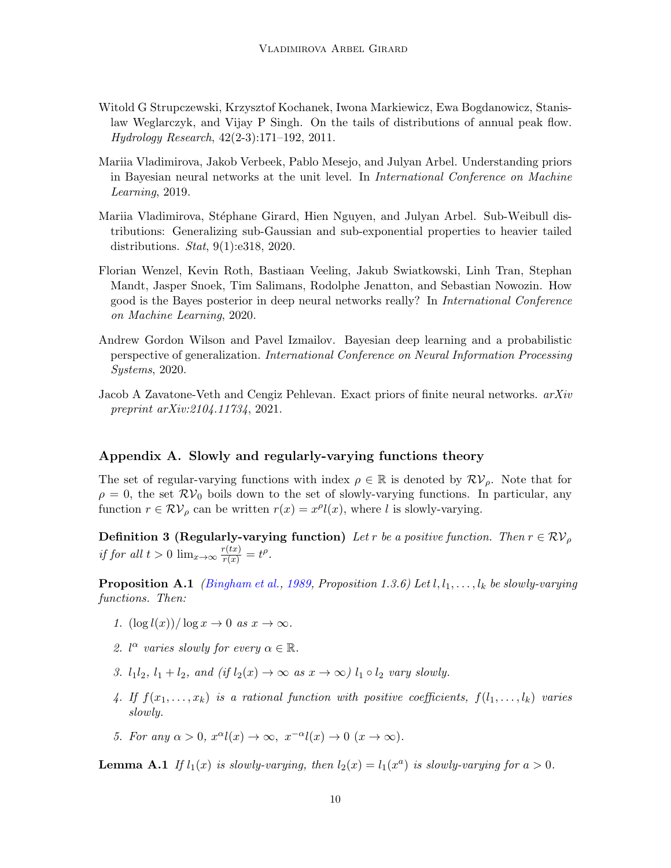- <span id="page-9-3"></span>Witold G Strupczewski, Krzysztof Kochanek, Iwona Markiewicz, Ewa Bogdanowicz, Stanislaw Weglarczyk, and Vijay P Singh. On the tails of distributions of annual peak flow. Hydrology Research, 42(2-3):171–192, 2011.
- <span id="page-9-1"></span>Mariia Vladimirova, Jakob Verbeek, Pablo Mesejo, and Julyan Arbel. Understanding priors in Bayesian neural networks at the unit level. In International Conference on Machine Learning, 2019.
- <span id="page-9-4"></span>Mariia Vladimirova, Stéphane Girard, Hien Nguyen, and Julyan Arbel. Sub-Weibull distributions: Generalizing sub-Gaussian and sub-exponential properties to heavier tailed distributions. Stat, 9(1):e318, 2020.
- <span id="page-9-6"></span>Florian Wenzel, Kevin Roth, Bastiaan Veeling, Jakub Swiatkowski, Linh Tran, Stephan Mandt, Jasper Snoek, Tim Salimans, Rodolphe Jenatton, and Sebastian Nowozin. How good is the Bayes posterior in deep neural networks really? In International Conference on Machine Learning, 2020.
- <span id="page-9-0"></span>Andrew Gordon Wilson and Pavel Izmailov. Bayesian deep learning and a probabilistic perspective of generalization. International Conference on Neural Information Processing Systems, 2020.
- <span id="page-9-2"></span>Jacob A Zavatone-Veth and Cengiz Pehlevan. Exact priors of finite neural networks.  $arXiv$ preprint arXiv:2104.11734, 2021.

## Appendix A. Slowly and regularly-varying functions theory

The set of regular-varying functions with index  $\rho \in \mathbb{R}$  is denoted by  $\mathcal{RV}_\rho$ . Note that for  $\rho = 0$ , the set  $\mathcal{RV}_0$  boils down to the set of slowly-varying functions. In particular, any function  $r \in \mathcal{RV}_\rho$  can be written  $r(x) = x^{\rho}l(x)$ , where l is slowly-varying.

**Definition 3 (Regularly-varying function)** Let r be a positive function. Then  $r \in RV_{\rho}$ if for all  $t > 0$   $\lim_{x \to \infty} \frac{r(tx)}{r(x)} = t^{\rho}$ .

<span id="page-9-5"></span>**Proposition A.1** [\(Bingham et al.,](#page-7-8) [1989,](#page-7-8) Proposition 1.3.6) Let  $l, l_1, \ldots, l_k$  be slowly-varying functions. Then:

- 1.  $(\log l(x))/\log x \to 0$  as  $x \to \infty$ .
- 2.  $l^{\alpha}$  varies slowly for every  $\alpha \in \mathbb{R}$ .
- 3.  $l_1l_2$ ,  $l_1 + l_2$ , and (if  $l_2(x) \rightarrow \infty$  as  $x \rightarrow \infty$ )  $l_1 \circ l_2$  vary slowly.
- 4. If  $f(x_1, \ldots, x_k)$  is a rational function with positive coefficients,  $f(l_1, \ldots, l_k)$  varies slowly.
- 5. For any  $\alpha > 0$ ,  $x^{\alpha}l(x) \rightarrow \infty$ ,  $x^{-\alpha}l(x) \rightarrow 0$   $(x \rightarrow \infty)$ .

<span id="page-9-8"></span><span id="page-9-7"></span>**Lemma A.1** If  $l_1(x)$  is slowly-varying, then  $l_2(x) = l_1(x^a)$  is slowly-varying for  $a > 0$ .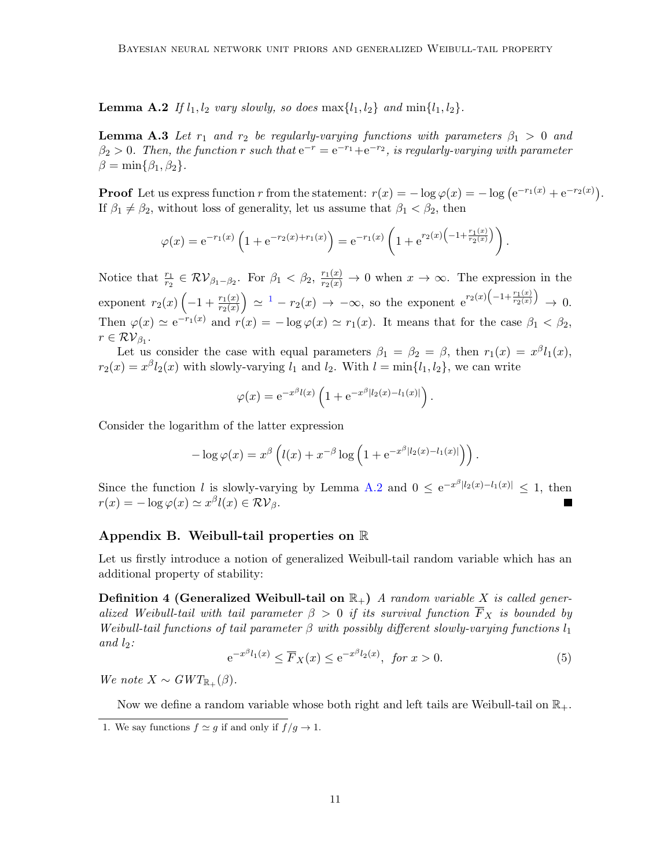**Lemma A.2** If  $l_1, l_2$  vary slowly, so does  $\max\{l_1, l_2\}$  and  $\min\{l_1, l_2\}$ .

<span id="page-10-3"></span>**Lemma A.3** Let  $r_1$  and  $r_2$  be regularly-varying functions with parameters  $\beta_1 > 0$  and  $\beta_2 > 0$ . Then, the function r such that  $e^{-r} = e^{-r_1} + e^{-r_2}$ , is regularly-varying with parameter  $\beta = \min\{\beta_1, \beta_2\}.$ 

**Proof** Let us express function r from the statement:  $r(x) = -\log \varphi(x) = -\log (e^{-r_1(x)} + e^{-r_2(x)})$ . If  $\beta_1 \neq \beta_2$ , without loss of generality, let us assume that  $\beta_1 < \beta_2$ , then

$$
\varphi(x) = e^{-r_1(x)} \left( 1 + e^{-r_2(x) + r_1(x)} \right) = e^{-r_1(x)} \left( 1 + e^{r_2(x)} \left( -1 + \frac{r_1(x)}{r_2(x)} \right) \right).
$$

Notice that  $\frac{r_1}{r_2} \in \mathcal{RV}_{\beta_1-\beta_2}$ . For  $\beta_1 < \beta_2$ ,  $\frac{r_1(x)}{r_2(x)} \to 0$  when  $x \to \infty$ . The expression in the exponent  $r_2(x)$   $\left(-1+\frac{r_1(x)}{r_2(x)}\right)$  $\Big) \simeq$   $\Big(1 - r_2(x) \Big) \to -\infty$  $\Big(1 - r_2(x) \Big) \to -\infty$  $\Big(1 - r_2(x) \Big) \to -\infty$ , so the exponent  $e^{r_2(x)\left(-1 + \frac{r_1(x)}{r_2(x)}\right)} \to 0$ . Then  $\varphi(x) \simeq e^{-r_1(x)}$  and  $r(x) = -\log \varphi(x) \simeq r_1(x)$ . It means that for the case  $\beta_1 < \beta_2$ ,  $r \in \mathcal{RV}_{\beta_1}.$ 

Let us consider the case with equal parameters  $\beta_1 = \beta_2 = \beta$ , then  $r_1(x) = x^{\beta}l_1(x)$ ,  $r_2(x) = x^{\beta}l_2(x)$  with slowly-varying  $l_1$  and  $l_2$ . With  $l = \min\{l_1, l_2\}$ , we can write

$$
\varphi(x) = e^{-x^{\beta}l(x)} \left( 1 + e^{-x^{\beta}|l_2(x) - l_1(x)|} \right).
$$

Consider the logarithm of the latter expression

$$
-\log \varphi(x) = x^{\beta} \left( l(x) + x^{-\beta} \log \left( 1 + e^{-x^{\beta} |l_2(x) - l_1(x)|} \right) \right).
$$

Since the function l is slowly-varying by Lemma [A.2](#page-9-7) and  $0 \le e^{-x^{\beta}|l_2(x)-l_1(x)|} \le 1$ , then  $r(x) = -\log \varphi(x) \simeq x^{\beta} l(x) \in \mathcal{RV}_{\beta}.$ 

## <span id="page-10-0"></span>Appendix B. Weibull-tail properties on R

Let us firstly introduce a notion of generalized Weibull-tail random variable which has an additional property of stability:

**Definition 4 (Generalized Weibull-tail on**  $\mathbb{R}_+$ ) A random variable X is called generalized Weibull-tail with tail parameter  $\beta > 0$  if its survival function  $\overline{F}_X$  is bounded by Weibull-tail functions of tail parameter  $\beta$  with possibly different slowly-varying functions  $l_1$ and  $l_2$ :

<span id="page-10-4"></span><span id="page-10-2"></span>
$$
e^{-x^{\beta}l_1(x)} \le \overline{F}_X(x) \le e^{-x^{\beta}l_2(x)}, \text{ for } x > 0.
$$
 (5)

We note  $X \sim GWT_{\mathbb{R}_+}(\beta)$ .

Now we define a random variable whose both right and left tails are Weibull-tail on  $\mathbb{R}_+$ .

<span id="page-10-1"></span><sup>1.</sup> We say functions  $f \simeq g$  if and only if  $f / g \to 1$ .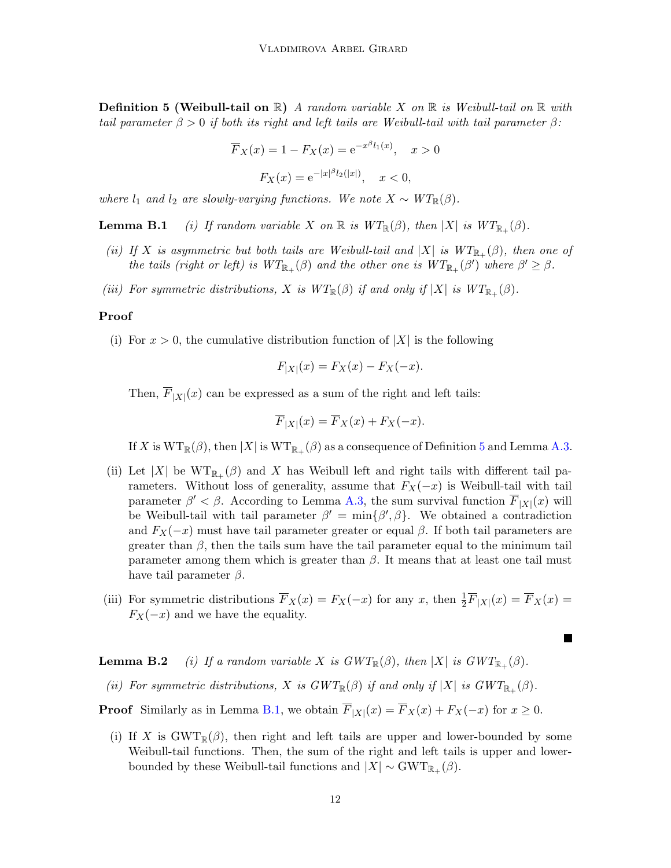**Definition 5 (Weibull-tail on**  $\mathbb{R}$ ) A random variable X on  $\mathbb{R}$  is Weibull-tail on  $\mathbb{R}$  with tail parameter  $\beta > 0$  if both its right and left tails are Weibull-tail with tail parameter  $\beta$ :

$$
\overline{F}_X(x) = 1 - F_X(x) = e^{-x^{\beta}l_1(x)}, \quad x > 0
$$
  
 $F_X(x) = e^{-|x|^{\beta}l_2(|x|)}, \quad x < 0,$ 

where  $l_1$  and  $l_2$  are slowly-varying functions. We note  $X \sim WT_{\mathbb{R}}(\beta)$ .

<span id="page-11-0"></span>**Lemma B.1** (i) If random variable X on  $\mathbb{R}$  is  $WT_{\mathbb{R}}(\beta)$ , then  $|X|$  is  $WT_{\mathbb{R}_+}(\beta)$ .

- (ii) If X is asymmetric but both tails are Weibull-tail and  $|X|$  is  $WT_{\mathbb{R}_+}(\beta)$ , then one of the tails (right or left) is  $WT_{\mathbb{R}_+}(\beta)$  and the other one is  $WT_{\mathbb{R}_+}(\beta')$  where  $\beta' \geq \beta$ .
- (iii) For symmetric distributions, X is  $WT_{\mathbb{R}}(\beta)$  if and only if  $|X|$  is  $WT_{\mathbb{R}_+}(\beta)$ .

#### Proof

(i) For  $x > 0$ , the cumulative distribution function of  $|X|$  is the following

$$
F_{|X|}(x) = F_X(x) - F_X(-x).
$$

Then,  $F_{|X|}(x)$  can be expressed as a sum of the right and left tails:

$$
\overline{F}_{|X|}(x) = \overline{F}_X(x) + F_X(-x).
$$

If X is  $WT_{\mathbb{R}}(\beta)$ , then  $|X|$  is  $WT_{\mathbb{R}_+}(\beta)$  as a consequence of Definition [5](#page-10-2) and Lemma [A.3.](#page-10-3)

- (ii) Let |X| be  $WT_{\mathbb{R}_+}(\beta)$  and X has Weibull left and right tails with different tail parameters. Without loss of generality, assume that  $F_X(-x)$  is Weibull-tail with tail parameter  $\beta' < \beta$ . According to Lemma [A.3,](#page-10-3) the sum survival function  $\overline{F}_{|X|}(x)$  will be Weibull-tail with tail parameter  $\beta' = \min{\{\beta', \beta\}}$ . We obtained a contradiction and  $F_X(-x)$  must have tail parameter greater or equal  $\beta$ . If both tail parameters are greater than  $\beta$ , then the tails sum have the tail parameter equal to the minimum tail parameter among them which is greater than  $\beta$ . It means that at least one tail must have tail parameter  $\beta$ .
- (iii) For symmetric distributions  $\overline{F}_X(x) = F_X(-x)$  for any x, then  $\frac{1}{2}\overline{F}_{|X|}(x) = \overline{F}_X(x) =$  $F_X(-x)$  and we have the equality.

**Lemma B.2** (i) If a random variable X is  $GWT_{\mathbb{R}}(\beta)$ , then  $|X|$  is  $GWT_{\mathbb{R}_+}(\beta)$ .

(ii) For symmetric distributions, X is  $GWT_{\mathbb{R}}(\beta)$  if and only if  $|X|$  is  $GWT_{\mathbb{R}_+}(\beta)$ .

**Proof** Similarly as in Lemma [B.1,](#page-11-0) we obtain  $F_{|X|}(x) = F_X(x) + F_X(-x)$  for  $x \ge 0$ .

(i) If X is GWT<sub>R</sub> $(\beta)$ , then right and left tails are upper and lower-bounded by some Weibull-tail functions. Then, the sum of the right and left tails is upper and lowerbounded by these Weibull-tail functions and  $|X| \sim \text{GWT}_{\mathbb{R}_+}(\beta)$ .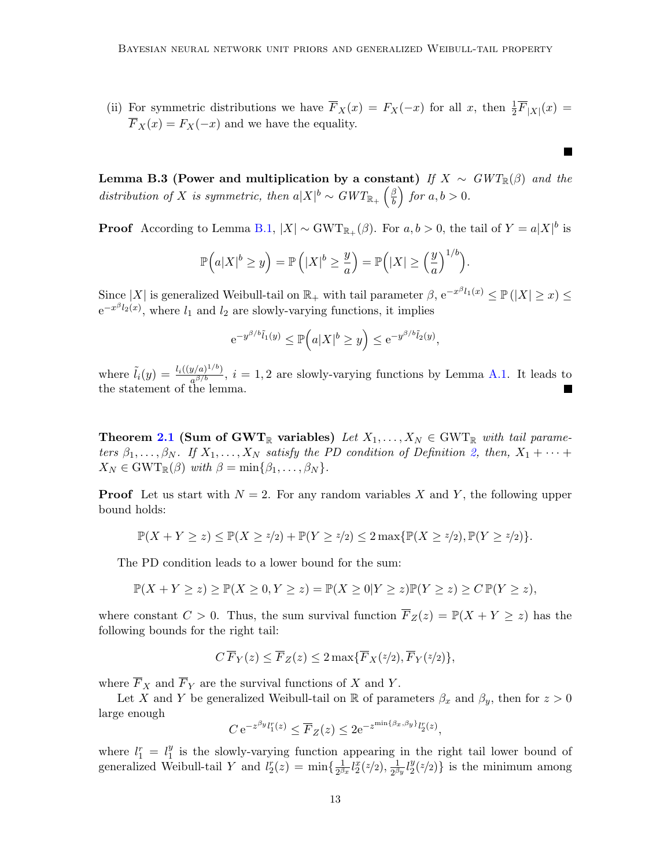(ii) For symmetric distributions we have  $\overline{F}_X(x) = F_X(-x)$  for all x, then  $\frac{1}{2}\overline{F}_{|X|}(x) =$  $\overline{F}_X(x) = F_X(-x)$  and we have the equality.

<span id="page-12-0"></span>Lemma B.3 (Power and multiplication by a constant) If  $X \sim GWT_{\mathbb{R}}(\beta)$  and the distribution of X is symmetric, then  $a|X|^b \sim GWT_{\mathbb{R}_+} \left( \frac{\beta}{b} \right)$  $\left(\frac{\beta}{b}\right)$  for  $a, b > 0$ .

**Proof** According to Lemma [B.1,](#page-11-0)  $|X| \sim GWT_{\mathbb{R}_+}(\beta)$ . For  $a, b > 0$ , the tail of  $Y = a|X|^b$  is

$$
\mathbb{P}\Big(a|X|^b \ge y\Big) = \mathbb{P}\Big(|X|^b \ge \frac{y}{a}\Big) = \mathbb{P}\Big(|X| \ge \left(\frac{y}{a}\right)^{1/b}\Big).
$$

Since  $|X|$  is generalized Weibull-tail on  $\mathbb{R}_+$  with tail parameter  $\beta$ ,  $e^{-x^{\beta}l_1(x)} \leq \mathbb{P}(|X| \geq x) \leq$  $e^{-x^{\beta}l_2(x)}$ , where  $l_1$  and  $l_2$  are slowly-varying functions, it implies

$$
e^{-y^{\beta/b}\tilde{l}_1(y)} \le \mathbb{P}\Big(a|X|^b \ge y\Big) \le e^{-y^{\beta/b}\tilde{l}_2(y)},
$$

where  $\tilde{l}_i(y) = \frac{l_i((y/a)^{1/b})}{a^{\beta/b}}$  $\frac{g}{a^{\beta/b}}$ ,  $i = 1, 2$  are slowly-varying functions by Lemma [A.1.](#page-9-8) It leads to the statement of the lemma.

Theorem [2.1](#page-3-1) (Sum of GWT<sub>R</sub> variables) Let  $X_1, \ldots, X_N \in \text{GWT}_\mathbb{R}$  with tail parameters  $\beta_1, \ldots, \beta_N$ . If  $X_1, \ldots, X_N$  satisfy the PD condition of Definition [2,](#page-2-1) then,  $X_1 + \cdots +$  $X_N \in \text{GWT}_{\mathbb{R}}(\beta)$  with  $\beta = \min\{\beta_1, \ldots, \beta_N\}.$ 

**Proof** Let us start with  $N = 2$ . For any random variables X and Y, the following upper bound holds:

$$
\mathbb{P}(X+Y\geq z)\leq \mathbb{P}(X\geq z/2)+\mathbb{P}(Y\geq z/2)\leq 2\max\{\mathbb{P}(X\geq z/2),\mathbb{P}(Y\geq z/2)\}.
$$

The PD condition leads to a lower bound for the sum:

$$
\mathbb{P}(X+Y\geq z)\geq \mathbb{P}(X\geq 0, Y\geq z)=\mathbb{P}(X\geq 0|Y\geq z)\mathbb{P}(Y\geq z)\geq C\,\mathbb{P}(Y\geq z),
$$

where constant  $C > 0$ . Thus, the sum survival function  $\overline{F}_Z(z) = \mathbb{P}(X + Y \geq z)$  has the following bounds for the right tail:

$$
C\,\overline{F}_Y(z) \leq \overline{F}_Z(z) \leq 2\max{\{\overline{F}_X(z/2), \overline{F}_Y(z/2)\}},
$$

where  $\overline{F}_X$  and  $\overline{F}_Y$  are the survival functions of X and Y.

Let X and Y be generalized Weibull-tail on R of parameters  $\beta_x$  and  $\beta_y$ , then for  $z > 0$ large enough

$$
C e^{-z^{\beta y} l_1^r(z)} \leq \overline{F}_Z(z) \leq 2e^{-z^{\min\{\beta_x, \beta_y\}} l_2^r(z)},
$$

where  $l_1^r = l_1^y$  $\frac{y}{1}$  is the slowly-varying function appearing in the right tail lower bound of generalized Weibull-tail Y and  $l_2^r(z) = \min\{\frac{1}{2^{\beta}}\}$  $\frac{1}{2^{\beta x}} l_2^x(z_2), \frac{1}{2^{\beta}}$  $\frac{1}{2^{\beta y}}l_2^y$  $2^y(z/2)$  is the minimum among

**The Second Second**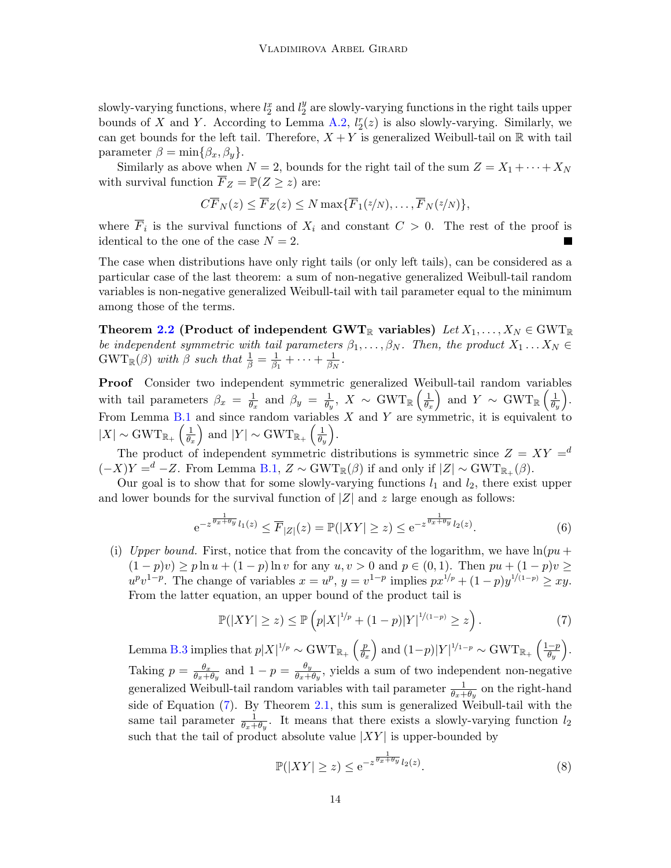slowly-varying functions, where  $l_2^x$  and  $l_2^y$  $\frac{y}{2}$  are slowly-varying functions in the right tails upper bounds of X and Y. According to Lemma [A.2,](#page-9-7)  $l_2^r(z)$  is also slowly-varying. Similarly, we can get bounds for the left tail. Therefore,  $X + Y$  is generalized Weibull-tail on R with tail parameter  $\beta = \min\{\beta_x, \beta_y\}.$ 

Similarly as above when  $N = 2$ , bounds for the right tail of the sum  $Z = X_1 + \cdots + X_N$ with survival function  $\overline{F}_Z = \mathbb{P}(Z \geq z)$  are:

$$
C\overline{F}_N(z) \leq \overline{F}_Z(z) \leq N \max{\{\overline{F}_1(z/N), \ldots, \overline{F}_N(z/N)\}},
$$

where  $F_i$  is the survival functions of  $X_i$  and constant  $C > 0$ . The rest of the proof is identical to the one of the case  $N = 2$ .

The case when distributions have only right tails (or only left tails), can be considered as a particular case of the last theorem: a sum of non-negative generalized Weibull-tail random variables is non-negative generalized Weibull-tail with tail parameter equal to the minimum among those of the terms.

Theorem [2.2](#page-3-4) (Product of independent GWT<sub>R</sub> variables)  $Let X_1, \ldots, X_N \in \text{GWT}_\mathbb{R}$ be independent symmetric with tail parameters  $\beta_1, \ldots, \beta_N$ . Then, the product  $X_1 \ldots X_N \in$  $\text{GWT}_{\mathbb{R}}(\beta)$  with  $\beta$  such that  $\frac{1}{\beta} = \frac{1}{\beta_1} + \cdots + \frac{1}{\beta_N}$ .

Proof Consider two independent symmetric generalized Weibull-tail random variables with tail parameters  $\beta_x = \frac{1}{\theta_x}$  and  $\beta_y = \frac{1}{\theta_y}$ ,  $X \sim \text{GWT}_{\mathbb{R}}\left(\frac{1}{\theta_x}\right)$  and  $Y \sim \text{GWT}_{\mathbb{R}}\left(\frac{1}{\theta_y}\right)$ . From Lemma  $B.1$  and since random variables X and Y are symmetric, it is equivalent to  $|X| \sim \text{GWT}_{\mathbb{R}_+} \left( \frac{1}{\theta_x} \right)$  and  $|Y| \sim \text{GWT}_{\mathbb{R}_+} \left( \frac{1}{\theta_y} \right)$ .

The product of independent symmetric distributions is symmetric since  $Z = XY = d$  $(-X)Y =^d -Z$ . From Lemma [B.1,](#page-11-0)  $Z \sim \text{GWT}_{\mathbb{R}}(\beta)$  if and only if  $|Z| \sim \text{GWT}_{\mathbb{R}_+}(\beta)$ .

Our goal is to show that for some slowly-varying functions  $l_1$  and  $l_2$ , there exist upper and lower bounds for the survival function of  $|Z|$  and z large enough as follows:

$$
e^{-z^{\frac{1}{\theta_x+\theta_y}}l_1(z)} \leq \overline{F}_{|Z|}(z) = \mathbb{P}(|XY| \geq z) \leq e^{-z^{\frac{1}{\theta_x+\theta_y}}l_2(z)}.
$$
 (6)

(i) Upper bound. First, notice that from the concavity of the logarithm, we have  $ln(pu +$  $(1-p)v \geq p \ln u + (1-p) \ln v$  for any  $u, v > 0$  and  $p \in (0,1)$ . Then  $pu + (1-p)v \geq$  $u^p v^{1-p}$ . The change of variables  $x = u^p$ ,  $y = v^{1-p}$  implies  $px^{1/p} + (1-p)y^{1/(1-p)} \ge xy$ . From the latter equation, an upper bound of the product tail is

<span id="page-13-0"></span>
$$
\mathbb{P}(|XY| \ge z) \le \mathbb{P}\left(p|X|^{1/p} + (1-p)|Y|^{1/(1-p)} \ge z\right). \tag{7}
$$

Lemma [B.3](#page-12-0) implies that  $p|X|^{1/p} \sim \text{GWT}_{\mathbb{R}_+} \left( \frac{p}{\theta_3} \right)$  $\left(\frac{p}{\theta_x}\right)$  and  $(1-p)|Y|^{1/1-p} \sim \text{GWT}_{\mathbb{R}_+} \left( \frac{1-p}{\theta_y}\right)$  $\frac{-p}{\theta_y}$ . Taking  $p = \frac{\theta_x}{\theta + \mu}$  $\frac{\theta_x}{\theta_x+\theta_y}$  and  $1-p=\frac{\theta_y}{\theta_x+}$  $\frac{\theta_y}{\theta_x+\theta_y}$ , yields a sum of two independent non-negative generalized Weibull-tail random variables with tail parameter  $\frac{1}{\theta_x+\theta_y}$  on the right-hand side of Equation [\(7\)](#page-13-0). By Theorem [2.1,](#page-3-1) this sum is generalized Weibull-tail with the same tail parameter  $\frac{1}{\theta_x+\theta_y}$ . It means that there exists a slowly-varying function  $l_2$ such that the tail of product absolute value  $|XY|$  is upper-bounded by

<span id="page-13-1"></span>
$$
\mathbb{P}(|XY| \ge z) \le e^{-z^{\frac{1}{\theta_x + \theta_y}} l_2(z)}.
$$
\n
$$
(8)
$$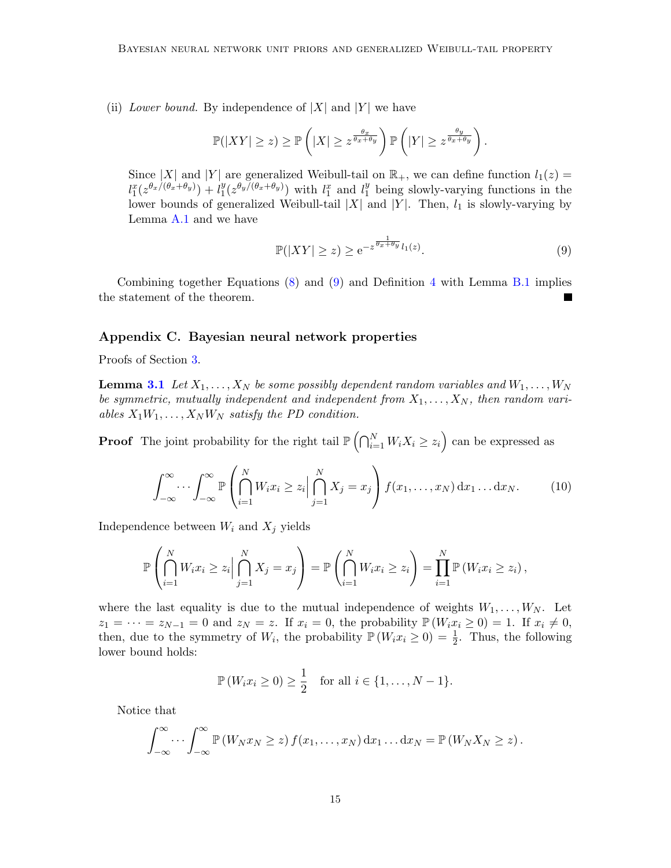(ii) Lower bound. By independence of  $|X|$  and  $|Y|$  we have

$$
\mathbb{P}(|XY| \geq z) \geq \mathbb{P}\left(|X| \geq z^{\frac{\theta_x}{\theta_x + \theta_y}}\right) \mathbb{P}\left(|Y| \geq z^{\frac{\theta_y}{\theta_x + \theta_y}}\right).
$$

Since |X| and |Y| are generalized Weibull-tail on  $\mathbb{R}_+$ , we can define function  $l_1(z)$  =  $l_1^x(z^{\theta_x/(\theta_x+\theta_y)})+l_1^y$  $\int_1^y (z^{\theta_y/(\theta_x+\theta_y)})$  with  $l_1^x$  and  $l_1^y$  $\frac{y}{1}$  being slowly-varying functions in the lower bounds of generalized Weibull-tail  $|X|$  and  $|Y|$ . Then,  $l_1$  is slowly-varying by Lemma [A.1](#page-9-8) and we have

<span id="page-14-0"></span>
$$
\mathbb{P}(|XY| \ge z) \ge e^{-z^{\frac{1}{\theta_x + \theta_y}} l_1(z)}.
$$
\n(9)

Combining together Equations [\(8\)](#page-13-1) and [\(9\)](#page-14-0) and Definition [4](#page-10-4) with Lemma [B.1](#page-11-0) implies the statement of the theorem.

## Appendix C. Bayesian neural network properties

Proofs of Section [3.](#page-3-0)

**Lemma [3.1](#page-3-2)** Let  $X_1, \ldots, X_N$  be some possibly dependent random variables and  $W_1, \ldots, W_N$ be symmetric, mutually independent and independent from  $X_1, \ldots, X_N$ , then random variables  $X_1W_1, \ldots, X_NW_N$  satisfy the PD condition.

**Proof** The joint probability for the right tail  $\mathbb{P}(\bigcap_{i=1}^{N} W_i X_i \geq z_i)$  can be expressed as

<span id="page-14-1"></span>
$$
\int_{-\infty}^{\infty} \cdots \int_{-\infty}^{\infty} \mathbb{P}\left(\bigcap_{i=1}^{N} W_i x_i \geq z_i \Big| \bigcap_{j=1}^{N} X_j = x_j\right) f(x_1, \ldots, x_N) dx_1 \ldots dx_N.
$$
 (10)

Independence between  $W_i$  and  $X_j$  yields

$$
\mathbb{P}\left(\bigcap_{i=1}^N W_i x_i \geq z_i \Big|\bigcap_{j=1}^N X_j = x_j\right) = \mathbb{P}\left(\bigcap_{i=1}^N W_i x_i \geq z_i\right) = \prod_{i=1}^N \mathbb{P}\left(W_i x_i \geq z_i\right),
$$

where the last equality is due to the mutual independence of weights  $W_1, \ldots, W_N$ . Let  $z_1 = \cdots = z_{N-1} = 0$  and  $z_N = z$ . If  $x_i = 0$ , the probability  $\mathbb{P}(W_i x_i \geq 0) = 1$ . If  $x_i \neq 0$ , then, due to the symmetry of  $W_i$ , the probability  $\mathbb{P}(W_ix_i \geq 0) = \frac{1}{2}$ . Thus, the following lower bound holds:

$$
\mathbb{P}(W_i x_i \ge 0) \ge \frac{1}{2} \text{ for all } i \in \{1, ..., N - 1\}.
$$

Notice that

$$
\int_{-\infty}^{\infty} \cdots \int_{-\infty}^{\infty} \mathbb{P}\left(W_N x_N \geq z\right) f(x_1,\ldots,x_N) \, \mathrm{d}x_1 \ldots \mathrm{d}x_N = \mathbb{P}\left(W_N X_N \geq z\right).
$$